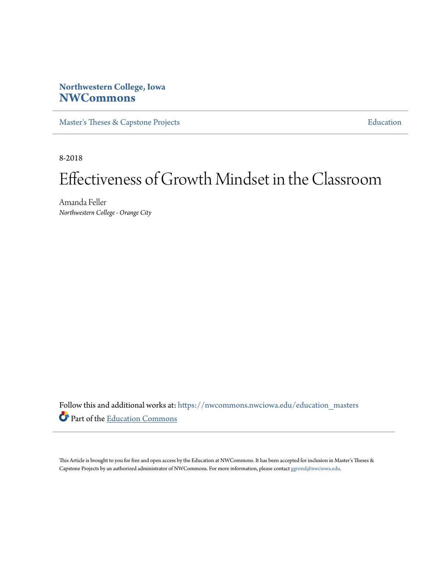# **Northwestern College, Iowa [NWCommons](https://nwcommons.nwciowa.edu?utm_source=nwcommons.nwciowa.edu%2Feducation_masters%2F115&utm_medium=PDF&utm_campaign=PDFCoverPages)**

[Master's Theses & Capstone Projects](https://nwcommons.nwciowa.edu/education_masters?utm_source=nwcommons.nwciowa.edu%2Feducation_masters%2F115&utm_medium=PDF&utm_campaign=PDFCoverPages) **[Education](https://nwcommons.nwciowa.edu/education?utm_source=nwcommons.nwciowa.edu%2Feducation_masters%2F115&utm_medium=PDF&utm_campaign=PDFCoverPages)** 

8-2018

# Effectiveness of Growth Mindset in the Classroom

Amanda Feller *Northwestern College - Orange City*

Follow this and additional works at: [https://nwcommons.nwciowa.edu/education\\_masters](https://nwcommons.nwciowa.edu/education_masters?utm_source=nwcommons.nwciowa.edu%2Feducation_masters%2F115&utm_medium=PDF&utm_campaign=PDFCoverPages) Part of the [Education Commons](http://network.bepress.com/hgg/discipline/784?utm_source=nwcommons.nwciowa.edu%2Feducation_masters%2F115&utm_medium=PDF&utm_campaign=PDFCoverPages)

This Article is brought to you for free and open access by the Education at NWCommons. It has been accepted for inclusion in Master's Theses & Capstone Projects by an authorized administrator of NWCommons. For more information, please contact [ggrond@nwciowa.edu.](mailto:ggrond@nwciowa.edu)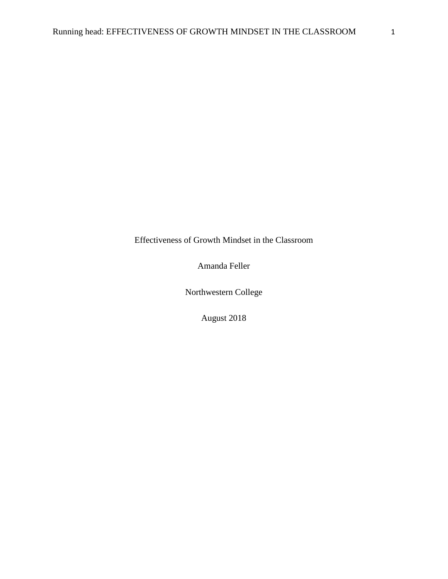Effectiveness of Growth Mindset in the Classroom

Amanda Feller

Northwestern College

August 2018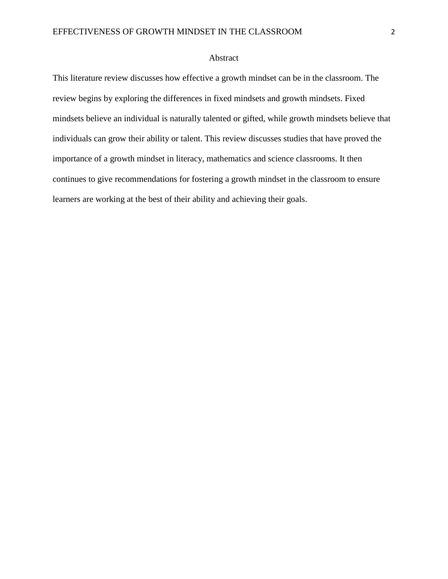# Abstract

This literature review discusses how effective a growth mindset can be in the classroom. The review begins by exploring the differences in fixed mindsets and growth mindsets. Fixed mindsets believe an individual is naturally talented or gifted, while growth mindsets believe that individuals can grow their ability or talent. This review discusses studies that have proved the importance of a growth mindset in literacy, mathematics and science classrooms. It then continues to give recommendations for fostering a growth mindset in the classroom to ensure learners are working at the best of their ability and achieving their goals.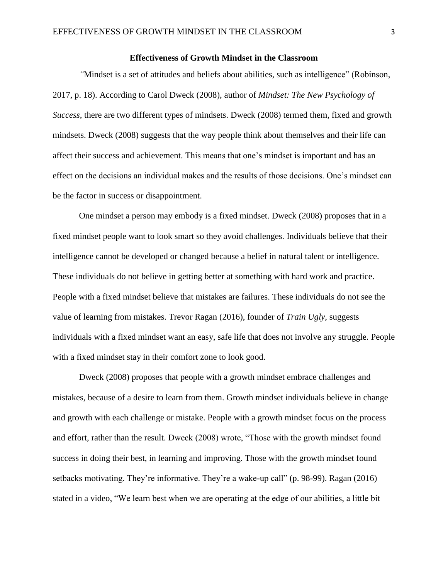## **Effectiveness of Growth Mindset in the Classroom**

*"*Mindset is a set of attitudes and beliefs about abilities, such as intelligence" (Robinson, 2017, p. 18). According to Carol Dweck (2008), author of *Mindset: The New Psychology of Success,* there are two different types of mindsets. Dweck (2008) termed them, fixed and growth mindsets. Dweck (2008) suggests that the way people think about themselves and their life can affect their success and achievement. This means that one's mindset is important and has an effect on the decisions an individual makes and the results of those decisions. One's mindset can be the factor in success or disappointment.

One mindset a person may embody is a fixed mindset. Dweck (2008) proposes that in a fixed mindset people want to look smart so they avoid challenges. Individuals believe that their intelligence cannot be developed or changed because a belief in natural talent or intelligence. These individuals do not believe in getting better at something with hard work and practice. People with a fixed mindset believe that mistakes are failures. These individuals do not see the value of learning from mistakes. Trevor Ragan (2016), founder of *Train Ugly,* suggests individuals with a fixed mindset want an easy, safe life that does not involve any struggle. People with a fixed mindset stay in their comfort zone to look good.

Dweck (2008) proposes that people with a growth mindset embrace challenges and mistakes, because of a desire to learn from them. Growth mindset individuals believe in change and growth with each challenge or mistake. People with a growth mindset focus on the process and effort, rather than the result. Dweck (2008) wrote, "Those with the growth mindset found success in doing their best, in learning and improving. Those with the growth mindset found setbacks motivating. They're informative. They're a wake-up call" (p. 98-99). Ragan (2016) stated in a video, "We learn best when we are operating at the edge of our abilities, a little bit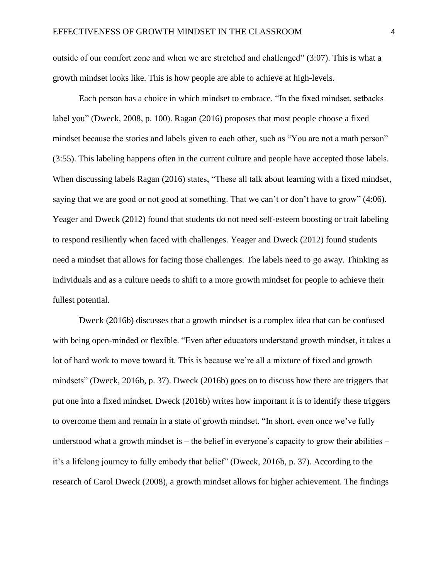outside of our comfort zone and when we are stretched and challenged" (3:07). This is what a growth mindset looks like. This is how people are able to achieve at high-levels.

Each person has a choice in which mindset to embrace. "In the fixed mindset, setbacks label you" (Dweck, 2008, p. 100). Ragan (2016) proposes that most people choose a fixed mindset because the stories and labels given to each other, such as "You are not a math person" (3:55). This labeling happens often in the current culture and people have accepted those labels. When discussing labels Ragan (2016) states, "These all talk about learning with a fixed mindset, saying that we are good or not good at something. That we can't or don't have to grow" (4:06). Yeager and Dweck (2012) found that students do not need self-esteem boosting or trait labeling to respond resiliently when faced with challenges. Yeager and Dweck (2012) found students need a mindset that allows for facing those challenges. The labels need to go away. Thinking as individuals and as a culture needs to shift to a more growth mindset for people to achieve their fullest potential.

Dweck (2016b) discusses that a growth mindset is a complex idea that can be confused with being open-minded or flexible. "Even after educators understand growth mindset, it takes a lot of hard work to move toward it. This is because we're all a mixture of fixed and growth mindsets" (Dweck, 2016b, p. 37). Dweck (2016b) goes on to discuss how there are triggers that put one into a fixed mindset. Dweck (2016b) writes how important it is to identify these triggers to overcome them and remain in a state of growth mindset. "In short, even once we've fully understood what a growth mindset is  $-$  the belief in everyone's capacity to grow their abilities  $$ it's a lifelong journey to fully embody that belief" (Dweck, 2016b, p. 37). According to the research of Carol Dweck (2008), a growth mindset allows for higher achievement. The findings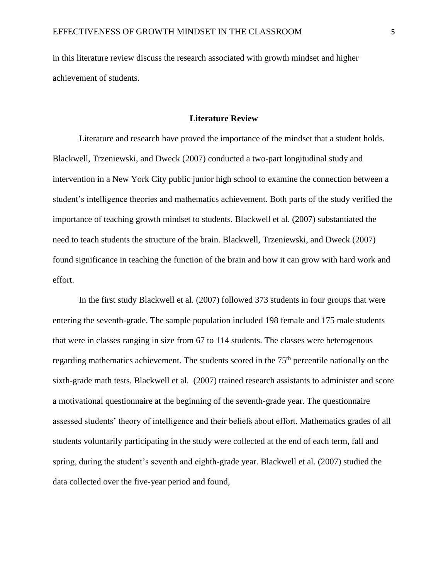in this literature review discuss the research associated with growth mindset and higher achievement of students.

### **Literature Review**

Literature and research have proved the importance of the mindset that a student holds. Blackwell, Trzeniewski, and Dweck (2007) conducted a two-part longitudinal study and intervention in a New York City public junior high school to examine the connection between a student's intelligence theories and mathematics achievement. Both parts of the study verified the importance of teaching growth mindset to students. Blackwell et al. (2007) substantiated the need to teach students the structure of the brain. Blackwell, Trzeniewski, and Dweck (2007) found significance in teaching the function of the brain and how it can grow with hard work and effort.

In the first study Blackwell et al. (2007) followed 373 students in four groups that were entering the seventh-grade. The sample population included 198 female and 175 male students that were in classes ranging in size from 67 to 114 students. The classes were heterogenous regarding mathematics achievement. The students scored in the 75<sup>th</sup> percentile nationally on the sixth-grade math tests. Blackwell et al. (2007) trained research assistants to administer and score a motivational questionnaire at the beginning of the seventh-grade year. The questionnaire assessed students' theory of intelligence and their beliefs about effort. Mathematics grades of all students voluntarily participating in the study were collected at the end of each term, fall and spring, during the student's seventh and eighth-grade year. Blackwell et al. (2007) studied the data collected over the five-year period and found,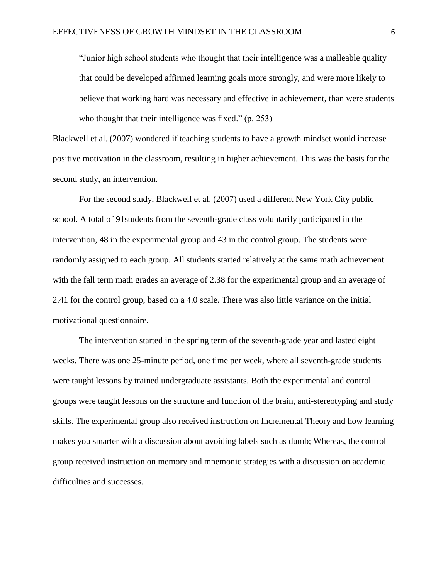"Junior high school students who thought that their intelligence was a malleable quality that could be developed affirmed learning goals more strongly, and were more likely to believe that working hard was necessary and effective in achievement, than were students who thought that their intelligence was fixed." (p. 253)

Blackwell et al. (2007) wondered if teaching students to have a growth mindset would increase positive motivation in the classroom, resulting in higher achievement. This was the basis for the second study, an intervention.

For the second study, Blackwell et al. (2007) used a different New York City public school. A total of 91students from the seventh-grade class voluntarily participated in the intervention, 48 in the experimental group and 43 in the control group. The students were randomly assigned to each group. All students started relatively at the same math achievement with the fall term math grades an average of 2.38 for the experimental group and an average of 2.41 for the control group, based on a 4.0 scale. There was also little variance on the initial motivational questionnaire.

The intervention started in the spring term of the seventh-grade year and lasted eight weeks. There was one 25-minute period, one time per week, where all seventh-grade students were taught lessons by trained undergraduate assistants. Both the experimental and control groups were taught lessons on the structure and function of the brain, anti-stereotyping and study skills. The experimental group also received instruction on Incremental Theory and how learning makes you smarter with a discussion about avoiding labels such as dumb; Whereas, the control group received instruction on memory and mnemonic strategies with a discussion on academic difficulties and successes.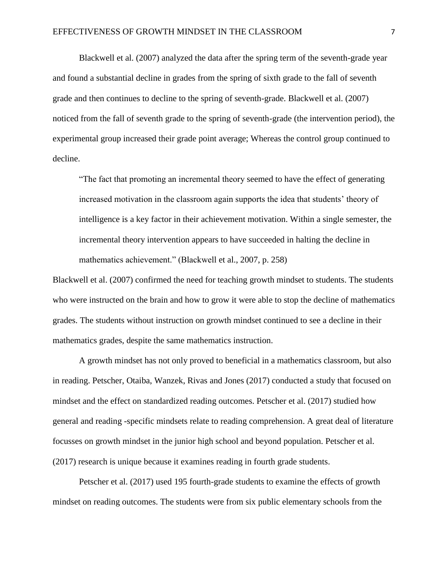Blackwell et al. (2007) analyzed the data after the spring term of the seventh-grade year and found a substantial decline in grades from the spring of sixth grade to the fall of seventh grade and then continues to decline to the spring of seventh-grade. Blackwell et al. (2007) noticed from the fall of seventh grade to the spring of seventh-grade (the intervention period), the experimental group increased their grade point average; Whereas the control group continued to decline.

"The fact that promoting an incremental theory seemed to have the effect of generating increased motivation in the classroom again supports the idea that students' theory of intelligence is a key factor in their achievement motivation. Within a single semester, the incremental theory intervention appears to have succeeded in halting the decline in mathematics achievement." (Blackwell et al., 2007, p. 258)

Blackwell et al. (2007) confirmed the need for teaching growth mindset to students. The students who were instructed on the brain and how to grow it were able to stop the decline of mathematics grades. The students without instruction on growth mindset continued to see a decline in their mathematics grades, despite the same mathematics instruction.

A growth mindset has not only proved to beneficial in a mathematics classroom, but also in reading. Petscher, Otaiba, Wanzek, Rivas and Jones (2017) conducted a study that focused on mindset and the effect on standardized reading outcomes. Petscher et al. (2017) studied how general and reading -specific mindsets relate to reading comprehension. A great deal of literature focusses on growth mindset in the junior high school and beyond population. Petscher et al. (2017) research is unique because it examines reading in fourth grade students.

Petscher et al. (2017) used 195 fourth-grade students to examine the effects of growth mindset on reading outcomes. The students were from six public elementary schools from the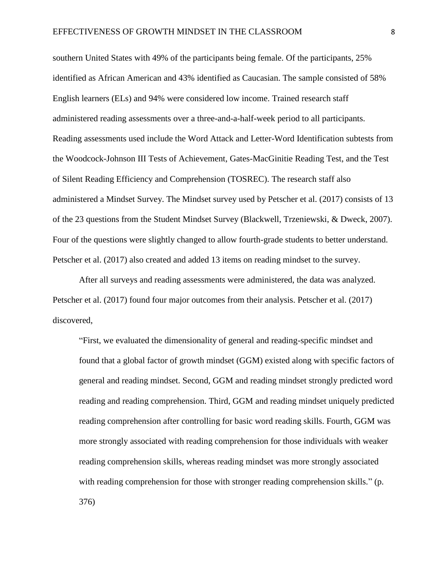southern United States with 49% of the participants being female. Of the participants, 25% identified as African American and 43% identified as Caucasian. The sample consisted of 58% English learners (ELs) and 94% were considered low income. Trained research staff administered reading assessments over a three-and-a-half-week period to all participants. Reading assessments used include the Word Attack and Letter-Word Identification subtests from the Woodcock-Johnson III Tests of Achievement, Gates-MacGinitie Reading Test, and the Test of Silent Reading Efficiency and Comprehension (TOSREC). The research staff also administered a Mindset Survey. The Mindset survey used by Petscher et al. (2017) consists of 13 of the 23 questions from the Student Mindset Survey (Blackwell, Trzeniewski, & Dweck, 2007). Four of the questions were slightly changed to allow fourth-grade students to better understand. Petscher et al. (2017) also created and added 13 items on reading mindset to the survey.

After all surveys and reading assessments were administered, the data was analyzed. Petscher et al. (2017) found four major outcomes from their analysis. Petscher et al. (2017) discovered,

"First, we evaluated the dimensionality of general and reading-specific mindset and found that a global factor of growth mindset (GGM) existed along with specific factors of general and reading mindset. Second, GGM and reading mindset strongly predicted word reading and reading comprehension. Third, GGM and reading mindset uniquely predicted reading comprehension after controlling for basic word reading skills. Fourth, GGM was more strongly associated with reading comprehension for those individuals with weaker reading comprehension skills, whereas reading mindset was more strongly associated with reading comprehension for those with stronger reading comprehension skills." (p. 376)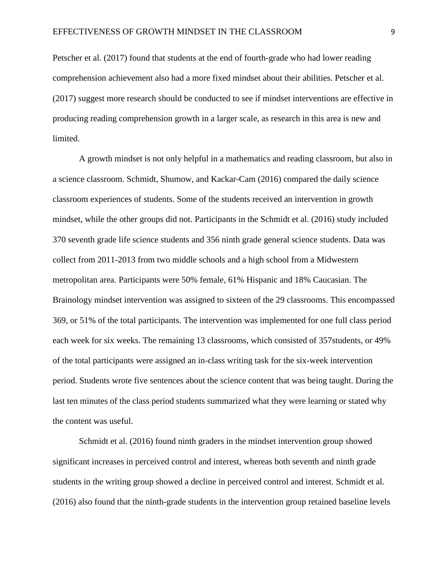Petscher et al. (2017) found that students at the end of fourth-grade who had lower reading comprehension achievement also had a more fixed mindset about their abilities. Petscher et al. (2017) suggest more research should be conducted to see if mindset interventions are effective in producing reading comprehension growth in a larger scale, as research in this area is new and limited.

A growth mindset is not only helpful in a mathematics and reading classroom, but also in a science classroom. Schmidt, Shumow, and Kackar-Cam (2016) compared the daily science classroom experiences of students. Some of the students received an intervention in growth mindset, while the other groups did not. Participants in the Schmidt et al. (2016) study included 370 seventh grade life science students and 356 ninth grade general science students. Data was collect from 2011-2013 from two middle schools and a high school from a Midwestern metropolitan area. Participants were 50% female, 61% Hispanic and 18% Caucasian. The Brainology mindset intervention was assigned to sixteen of the 29 classrooms. This encompassed 369, or 51% of the total participants. The intervention was implemented for one full class period each week for six weeks. The remaining 13 classrooms, which consisted of 357students, or 49% of the total participants were assigned an in-class writing task for the six-week intervention period. Students wrote five sentences about the science content that was being taught. During the last ten minutes of the class period students summarized what they were learning or stated why the content was useful.

Schmidt et al. (2016) found ninth graders in the mindset intervention group showed significant increases in perceived control and interest, whereas both seventh and ninth grade students in the writing group showed a decline in perceived control and interest. Schmidt et al. (2016) also found that the ninth-grade students in the intervention group retained baseline levels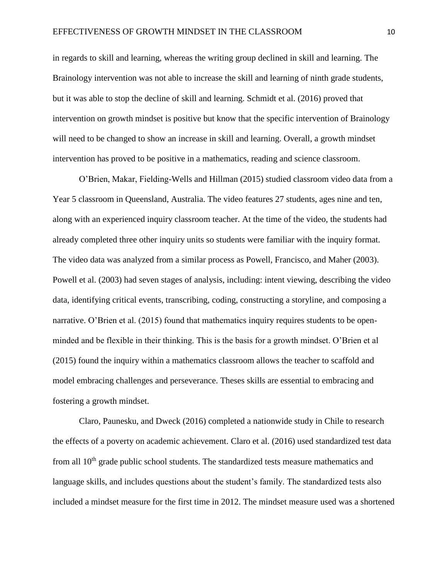in regards to skill and learning, whereas the writing group declined in skill and learning. The Brainology intervention was not able to increase the skill and learning of ninth grade students, but it was able to stop the decline of skill and learning. Schmidt et al. (2016) proved that intervention on growth mindset is positive but know that the specific intervention of Brainology will need to be changed to show an increase in skill and learning. Overall, a growth mindset intervention has proved to be positive in a mathematics, reading and science classroom.

O'Brien, Makar, Fielding-Wells and Hillman (2015) studied classroom video data from a Year 5 classroom in Queensland, Australia. The video features 27 students, ages nine and ten, along with an experienced inquiry classroom teacher. At the time of the video, the students had already completed three other inquiry units so students were familiar with the inquiry format. The video data was analyzed from a similar process as Powell, Francisco, and Maher (2003). Powell et al. (2003) had seven stages of analysis, including: intent viewing, describing the video data, identifying critical events, transcribing, coding, constructing a storyline, and composing a narrative. O'Brien et al. (2015) found that mathematics inquiry requires students to be openminded and be flexible in their thinking. This is the basis for a growth mindset. O'Brien et al (2015) found the inquiry within a mathematics classroom allows the teacher to scaffold and model embracing challenges and perseverance. Theses skills are essential to embracing and fostering a growth mindset.

Claro, Paunesku, and Dweck (2016) completed a nationwide study in Chile to research the effects of a poverty on academic achievement. Claro et al. (2016) used standardized test data from all  $10<sup>th</sup>$  grade public school students. The standardized tests measure mathematics and language skills, and includes questions about the student's family. The standardized tests also included a mindset measure for the first time in 2012. The mindset measure used was a shortened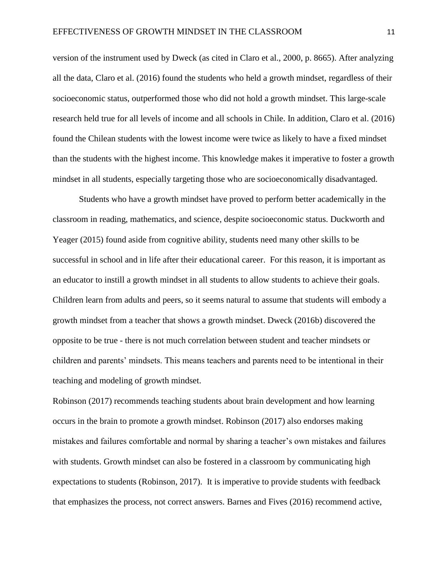version of the instrument used by Dweck (as cited in Claro et al., 2000, p. 8665). After analyzing all the data, Claro et al. (2016) found the students who held a growth mindset, regardless of their socioeconomic status, outperformed those who did not hold a growth mindset. This large-scale research held true for all levels of income and all schools in Chile. In addition, Claro et al. (2016) found the Chilean students with the lowest income were twice as likely to have a fixed mindset than the students with the highest income. This knowledge makes it imperative to foster a growth mindset in all students, especially targeting those who are socioeconomically disadvantaged.

Students who have a growth mindset have proved to perform better academically in the classroom in reading, mathematics, and science, despite socioeconomic status. Duckworth and Yeager (2015) found aside from cognitive ability, students need many other skills to be successful in school and in life after their educational career. For this reason, it is important as an educator to instill a growth mindset in all students to allow students to achieve their goals. Children learn from adults and peers, so it seems natural to assume that students will embody a growth mindset from a teacher that shows a growth mindset. Dweck (2016b) discovered the opposite to be true - there is not much correlation between student and teacher mindsets or children and parents' mindsets. This means teachers and parents need to be intentional in their teaching and modeling of growth mindset.

Robinson (2017) recommends teaching students about brain development and how learning occurs in the brain to promote a growth mindset. Robinson (2017) also endorses making mistakes and failures comfortable and normal by sharing a teacher's own mistakes and failures with students. Growth mindset can also be fostered in a classroom by communicating high expectations to students (Robinson, 2017). It is imperative to provide students with feedback that emphasizes the process, not correct answers. Barnes and Fives (2016) recommend active,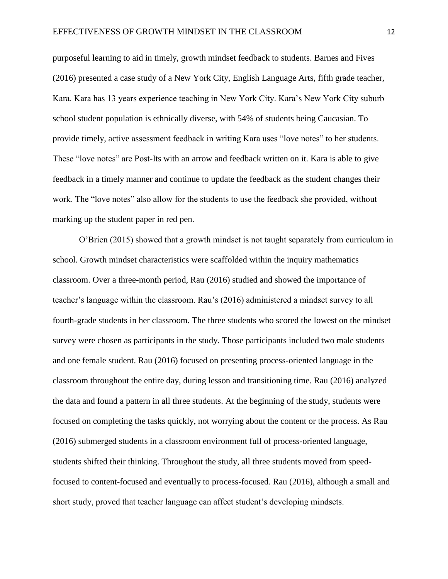purposeful learning to aid in timely, growth mindset feedback to students. Barnes and Fives (2016) presented a case study of a New York City, English Language Arts, fifth grade teacher, Kara. Kara has 13 years experience teaching in New York City. Kara's New York City suburb school student population is ethnically diverse, with 54% of students being Caucasian. To provide timely, active assessment feedback in writing Kara uses "love notes" to her students. These "love notes" are Post-Its with an arrow and feedback written on it. Kara is able to give feedback in a timely manner and continue to update the feedback as the student changes their work. The "love notes" also allow for the students to use the feedback she provided, without marking up the student paper in red pen.

O'Brien (2015) showed that a growth mindset is not taught separately from curriculum in school. Growth mindset characteristics were scaffolded within the inquiry mathematics classroom. Over a three-month period, Rau (2016) studied and showed the importance of teacher's language within the classroom. Rau's (2016) administered a mindset survey to all fourth-grade students in her classroom. The three students who scored the lowest on the mindset survey were chosen as participants in the study. Those participants included two male students and one female student. Rau (2016) focused on presenting process-oriented language in the classroom throughout the entire day, during lesson and transitioning time. Rau (2016) analyzed the data and found a pattern in all three students. At the beginning of the study, students were focused on completing the tasks quickly, not worrying about the content or the process. As Rau (2016) submerged students in a classroom environment full of process-oriented language, students shifted their thinking. Throughout the study, all three students moved from speedfocused to content-focused and eventually to process-focused. Rau (2016), although a small and short study, proved that teacher language can affect student's developing mindsets.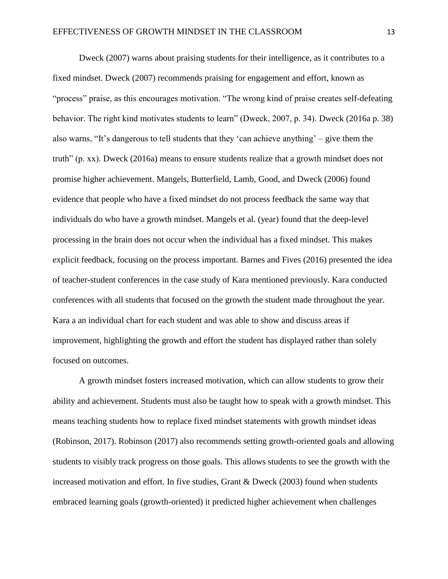Dweck (2007) warns about praising students for their intelligence, as it contributes to a fixed mindset. Dweck (2007) recommends praising for engagement and effort, known as "process" praise, as this encourages motivation. "The wrong kind of praise creates self-defeating behavior. The right kind motivates students to learn" (Dweck, 2007, p. 34). Dweck (2016a p. 38) also warns, "It's dangerous to tell students that they 'can achieve anything' – give them the truth" (p. xx). Dweck (2016a) means to ensure students realize that a growth mindset does not promise higher achievement. Mangels, Butterfield, Lamb, Good, and Dweck (2006) found evidence that people who have a fixed mindset do not process feedback the same way that individuals do who have a growth mindset. Mangels et al. (year) found that the deep-level processing in the brain does not occur when the individual has a fixed mindset. This makes explicit feedback, focusing on the process important. Barnes and Fives (2016) presented the idea of teacher-student conferences in the case study of Kara mentioned previously. Kara conducted conferences with all students that focused on the growth the student made throughout the year. Kara a an individual chart for each student and was able to show and discuss areas if improvement, highlighting the growth and effort the student has displayed rather than solely focused on outcomes.

A growth mindset fosters increased motivation, which can allow students to grow their ability and achievement. Students must also be taught how to speak with a growth mindset. This means teaching students how to replace fixed mindset statements with growth mindset ideas (Robinson, 2017). Robinson (2017) also recommends setting growth-oriented goals and allowing students to visibly track progress on those goals. This allows students to see the growth with the increased motivation and effort. In five studies, Grant & Dweck (2003) found when students embraced learning goals (growth-oriented) it predicted higher achievement when challenges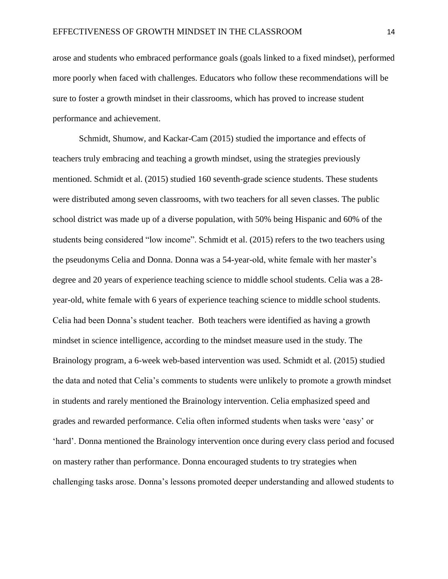arose and students who embraced performance goals (goals linked to a fixed mindset), performed more poorly when faced with challenges. Educators who follow these recommendations will be sure to foster a growth mindset in their classrooms, which has proved to increase student performance and achievement.

Schmidt, Shumow, and Kackar-Cam (2015) studied the importance and effects of teachers truly embracing and teaching a growth mindset, using the strategies previously mentioned. Schmidt et al. (2015) studied 160 seventh-grade science students. These students were distributed among seven classrooms, with two teachers for all seven classes. The public school district was made up of a diverse population, with 50% being Hispanic and 60% of the students being considered "low income". Schmidt et al. (2015) refers to the two teachers using the pseudonyms Celia and Donna. Donna was a 54-year-old, white female with her master's degree and 20 years of experience teaching science to middle school students. Celia was a 28 year-old, white female with 6 years of experience teaching science to middle school students. Celia had been Donna's student teacher. Both teachers were identified as having a growth mindset in science intelligence, according to the mindset measure used in the study. The Brainology program, a 6-week web-based intervention was used. Schmidt et al. (2015) studied the data and noted that Celia's comments to students were unlikely to promote a growth mindset in students and rarely mentioned the Brainology intervention. Celia emphasized speed and grades and rewarded performance. Celia often informed students when tasks were 'easy' or 'hard'. Donna mentioned the Brainology intervention once during every class period and focused on mastery rather than performance. Donna encouraged students to try strategies when challenging tasks arose. Donna's lessons promoted deeper understanding and allowed students to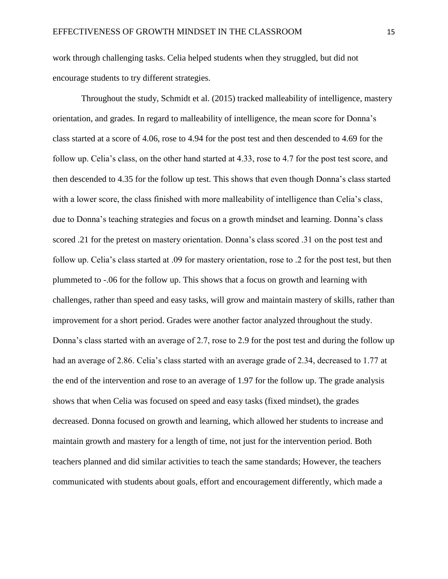work through challenging tasks. Celia helped students when they struggled, but did not encourage students to try different strategies.

Throughout the study, Schmidt et al. (2015) tracked malleability of intelligence, mastery orientation, and grades. In regard to malleability of intelligence, the mean score for Donna's class started at a score of 4.06, rose to 4.94 for the post test and then descended to 4.69 for the follow up. Celia's class, on the other hand started at 4.33, rose to 4.7 for the post test score, and then descended to 4.35 for the follow up test. This shows that even though Donna's class started with a lower score, the class finished with more malleability of intelligence than Celia's class, due to Donna's teaching strategies and focus on a growth mindset and learning. Donna's class scored .21 for the pretest on mastery orientation. Donna's class scored .31 on the post test and follow up. Celia's class started at .09 for mastery orientation, rose to .2 for the post test, but then plummeted to -.06 for the follow up. This shows that a focus on growth and learning with challenges, rather than speed and easy tasks, will grow and maintain mastery of skills, rather than improvement for a short period. Grades were another factor analyzed throughout the study. Donna's class started with an average of 2.7, rose to 2.9 for the post test and during the follow up had an average of 2.86. Celia's class started with an average grade of 2.34, decreased to 1.77 at the end of the intervention and rose to an average of 1.97 for the follow up. The grade analysis shows that when Celia was focused on speed and easy tasks (fixed mindset), the grades decreased. Donna focused on growth and learning, which allowed her students to increase and maintain growth and mastery for a length of time, not just for the intervention period. Both teachers planned and did similar activities to teach the same standards; However, the teachers communicated with students about goals, effort and encouragement differently, which made a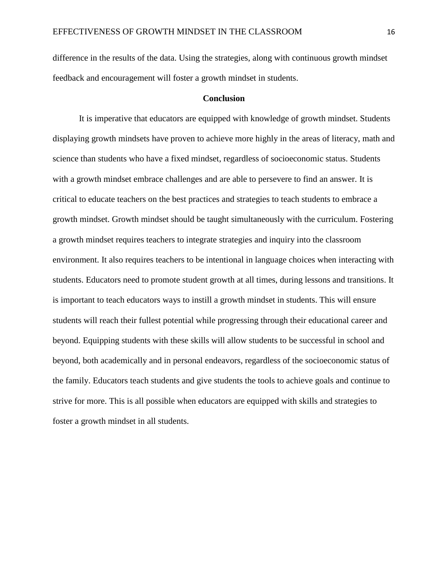difference in the results of the data. Using the strategies, along with continuous growth mindset feedback and encouragement will foster a growth mindset in students.

#### **Conclusion**

It is imperative that educators are equipped with knowledge of growth mindset. Students displaying growth mindsets have proven to achieve more highly in the areas of literacy, math and science than students who have a fixed mindset, regardless of socioeconomic status. Students with a growth mindset embrace challenges and are able to persevere to find an answer. It is critical to educate teachers on the best practices and strategies to teach students to embrace a growth mindset. Growth mindset should be taught simultaneously with the curriculum. Fostering a growth mindset requires teachers to integrate strategies and inquiry into the classroom environment. It also requires teachers to be intentional in language choices when interacting with students. Educators need to promote student growth at all times, during lessons and transitions. It is important to teach educators ways to instill a growth mindset in students. This will ensure students will reach their fullest potential while progressing through their educational career and beyond. Equipping students with these skills will allow students to be successful in school and beyond, both academically and in personal endeavors, regardless of the socioeconomic status of the family. Educators teach students and give students the tools to achieve goals and continue to strive for more. This is all possible when educators are equipped with skills and strategies to foster a growth mindset in all students.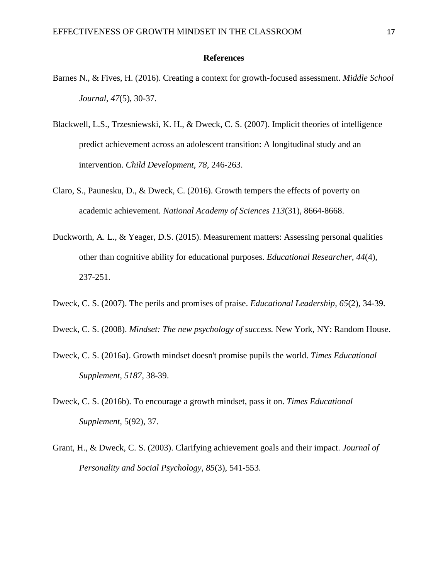### **References**

- Barnes N., & Fives, H. (2016). Creating a context for growth-focused assessment. *Middle School Journal, 47*(5), 30-37.
- Blackwell, L.S., Trzesniewski, K. H., & Dweck, C. S. (2007). Implicit theories of intelligence predict achievement across an adolescent transition: A longitudinal study and an intervention. *Child Development, 78,* 246-263.
- Claro, S., Paunesku, D., & Dweck, C. (2016). Growth tempers the effects of poverty on academic achievement. *National Academy of Sciences 113*(31), 8664-8668.
- Duckworth, A. L., & Yeager, D.S. (2015). Measurement matters: Assessing personal qualities other than cognitive ability for educational purposes. *Educational Researcher, 44*(4), 237-251.
- Dweck, C. S. (2007). The perils and promises of praise. *Educational Leadership, 65*(2), 34-39.
- Dweck, C. S. (2008). *Mindset: The new psychology of success.* New York, NY: Random House.
- Dweck, C. S. (2016a). Growth mindset doesn't promise pupils the world. *Times Educational Supplement, 5187*, 38-39.
- Dweck, C. S. (2016b). To encourage a growth mindset, pass it on. *Times Educational Supplement,* 5(92), 37.
- Grant, H., & Dweck, C. S. (2003). Clarifying achievement goals and their impact. *Journal of Personality and Social Psychology, 85*(3), 541-553.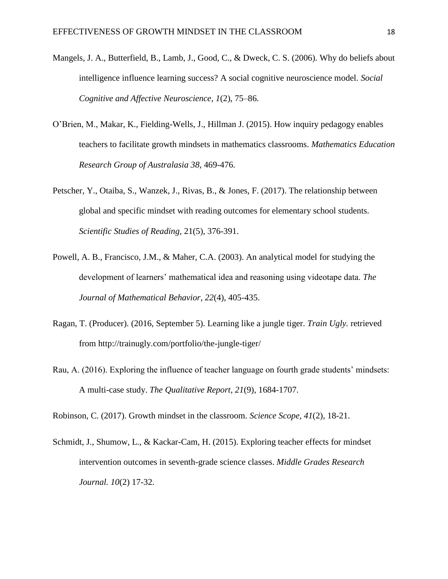- Mangels, J. A., Butterfield, B., Lamb, J., Good, C., & Dweck, C. S. (2006). Why do beliefs about intelligence influence learning success? A social cognitive neuroscience model. *Social Cognitive and Affective Neuroscience*, *1*(2), 75–86.
- O'Brien, M., Makar, K., Fielding-Wells, J., Hillman J. (2015). How inquiry pedagogy enables teachers to facilitate growth mindsets in mathematics classrooms. *Mathematics Education Research Group of Australasia 38*, 469-476.
- Petscher, Y., Otaiba, S., Wanzek, J., Rivas, B., & Jones, F. (2017). The relationship between global and specific mindset with reading outcomes for elementary school students. *Scientific Studies of Reading,* 21(5), 376-391.
- Powell, A. B., Francisco, J.M., & Maher, C.A. (2003). An analytical model for studying the development of learners' mathematical idea and reasoning using videotape data. *The Journal of Mathematical Behavior, 22*(4), 405-435.
- Ragan, T. (Producer). (2016, September 5). Learning like a jungle tiger. *Train Ugly.* retrieved from http://trainugly.com/portfolio/the-jungle-tiger/
- Rau, A. (2016). Exploring the influence of teacher language on fourth grade students' mindsets: A multi-case study. *The Qualitative Report, 21*(9), 1684-1707.

Robinson, C. (2017). Growth mindset in the classroom. *Science Scope, 41*(2), 18-21.

Schmidt, J., Shumow, L., & Kackar-Cam, H. (2015). Exploring teacher effects for mindset intervention outcomes in seventh-grade science classes. *Middle Grades Research Journal. 10*(2) 17-32.